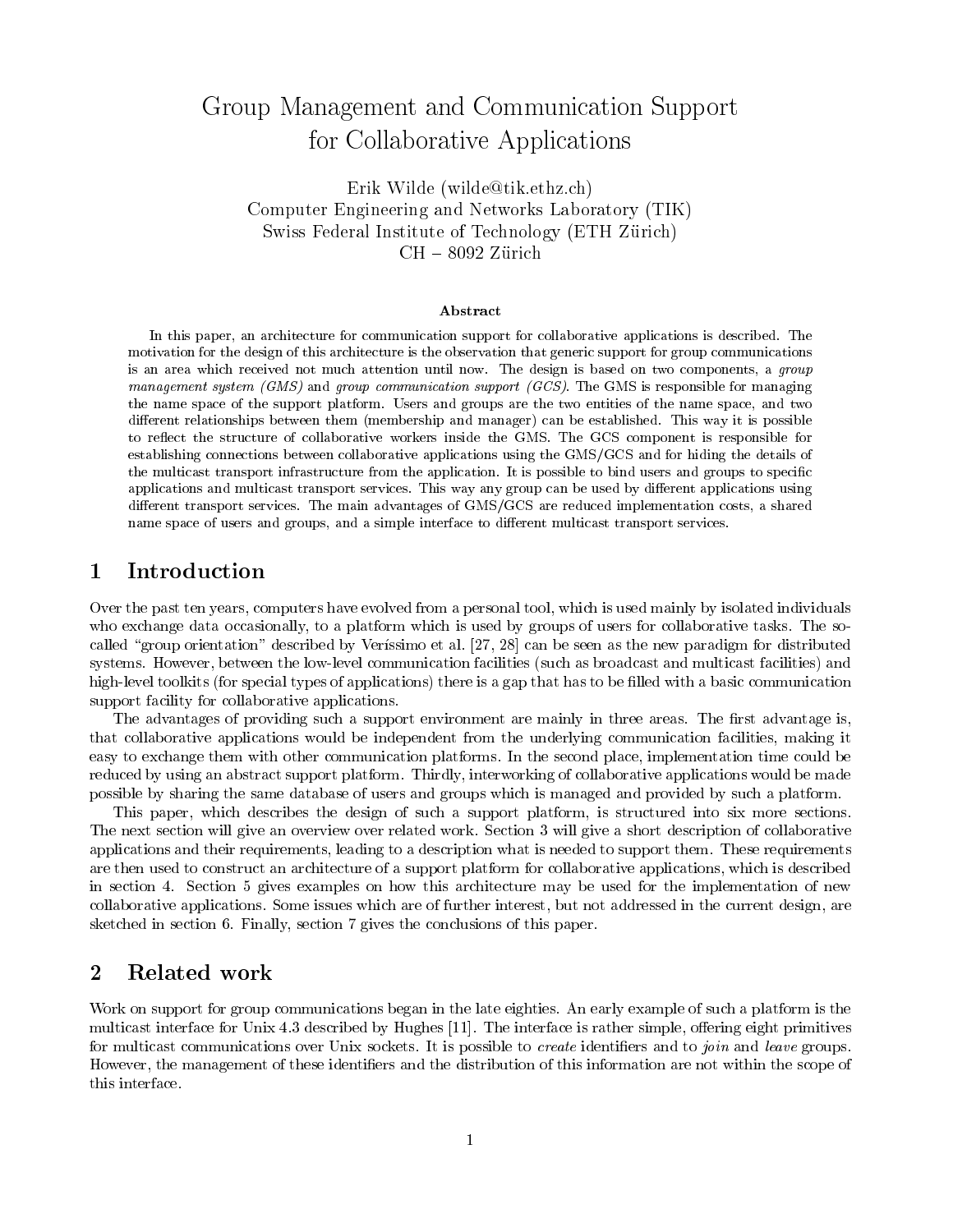# Group Management and Communication Support for Collaborative Applications

Erik Wilde (wilde@tik.ethz.ch)Computer Engineering and Networks Laboratory (TIK) Swiss Federal Institute of Technology (ETH Zurich)  $\text{CH} = 8032$  zurich

#### Abstract

In this paper, an architecture for communication support for collaborative applications is described. The motivation for the design of this architecture is the observation that generic support for group communicationsis an area which received not much attention until now. The design is based on two components, <sup>a</sup> group management system (GMS) and group communication support (GCS). The GMS is responsible for managing the name space of the support platform. Users and groups are the two entities of the name space, and two dierent relationships between them (membership and manager) can be established. This way it is possible to respect the structure of collaborative workers institute of GMS. The GCS component is responsible for establishing connections between collaborative applications using the GMS/GCS and for hiding the details ofthe multicast transport infrastructure from the application. It is possible to bind users and groups to specic applications and multicast transport services. This way any group can be used by dierent applications using dierent transport services. The main advantages of GMS/GCS are reduced implementation costs, a shared name space of users and groups, and a simple interface to different multicast transport services.

## 1 Introduction

Over the past ten years, computers have evolved from a personal tool, which is used mainly by isolated individuals who exchange data occasionally, to a platform which is used by groups of users for collaborative tasks. The socalled "group orientation" described by Verissimo et al.  $[27, 28]$  can be seen as the new paradigm for distributed systems. However, between the low-level communication facilities (such as broadcast and multicast facilities) and high-level toolkits (for special types of applications) there is a gap that has to be filled with a basic communication support facility for collaborative applications.

The advantages of providing such a support environment are mainly in three areas. The first advantage is, that collaborative applications would be independent from the underlying communication facilities, making it easy to exchange them with other communication platforms. In the second place, implementation time could be reduced by using an abstract support platform. Thirdly, interworking of collaborative applications would be made possible by sharing the same database of users and groups which is managed and provided by such a platform.

This paper, which describes the design of such a support platform, is structured into six more sections. The next section will give an overview over related work. Section 3 will give a short description of collaborative applications and their requirements, leading to a description what is needed to support them. These requirements are then used to construct an architecture of a support platform for collaborative applications, which is described in section 4. Section 5 gives examples on how this architecture may be used for the implementation of new collaborative applications. Some issues which are of further interest, but not addressed in the current design, are sketched in section 6. Finally, section 7 gives the conclusions of this paper.

#### $\overline{2}$ Related work

Work on support for group communications began in the late eighties. An early example of such a platform is the multicast interface for Unix 4.3 described by Hughes [11]. The interface is rather simple, offering eight primitives for multicast communications over Unix sockets. It is possible to *create* identifiers and to *join* and *leave* groups. However, the management of these identifiers and the distribution of this information are not within the scope of this interface.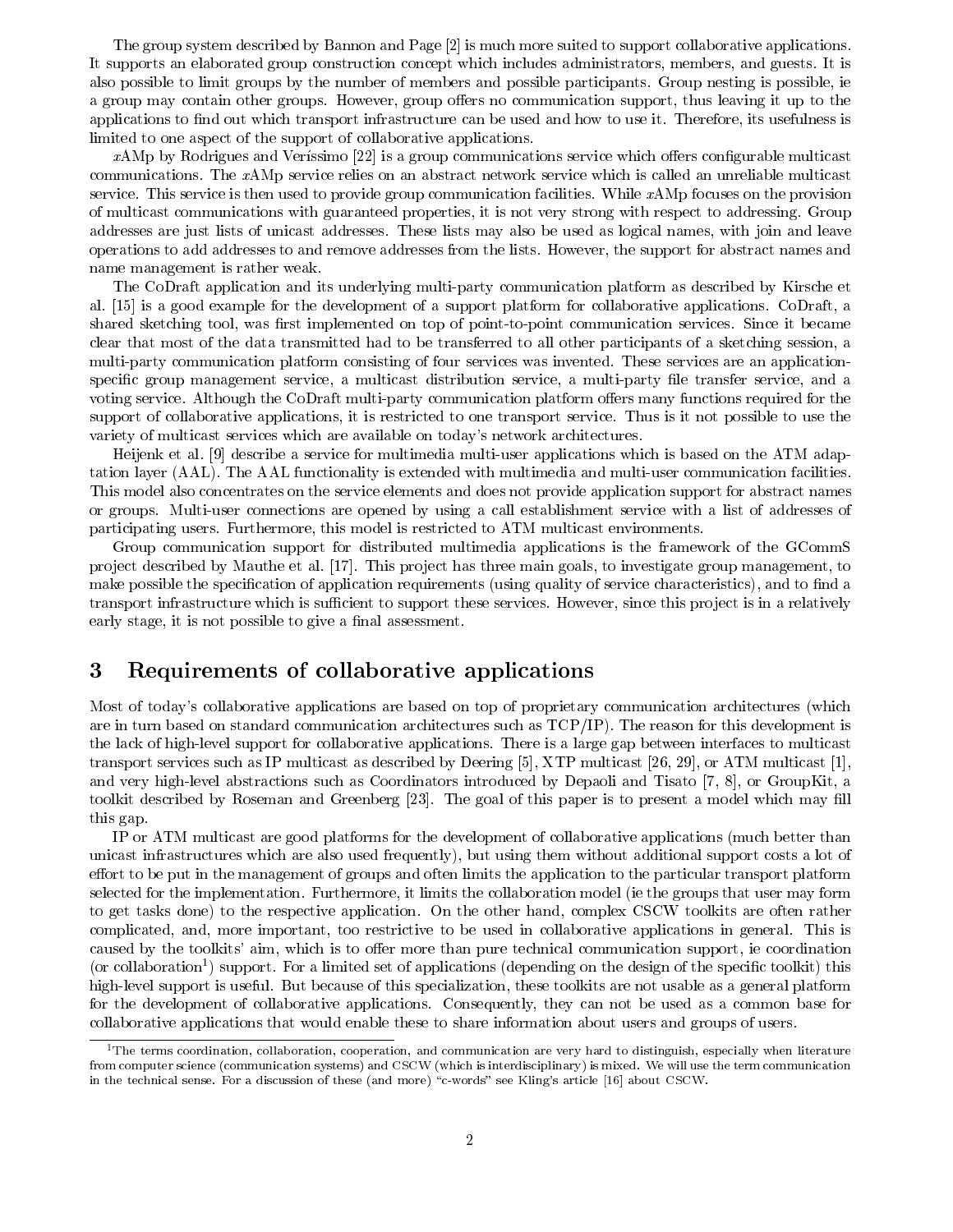The group system described by Bannon and Page [2] is much more suited to support collaborative applications. It supports an elaborated group construction concept which includes administrators, members, and guests. It is also possible to limit groups by the number of members and possible participants. Group nesting is possible, ie a group may contain other groups. However, group offers no communication support, thus leaving it up to the applications to find out which transport infrastructure can be used and how to use it. Therefore, its usefulness is limited to one aspect of the support of collaborative applications.

 $x$ AMp by Rodrigues and Veríssimo [22] is a group communications service which offers configurable multicast communications. The xAMp service relies on an abstract network service which is called an unreliable multicast service. This service is then used to provide group communication facilities. While xAMp focuses on the provision of multicast communications with guaranteed properties, it is not very strong with respect to addressing. Group addresses are just lists of unicast addresses. These lists may also be used as logical names, with join and leave operations to add addresses to and remove addresses from the lists. However, the support for abstract names and name management is rather weak.

The CoDraft application and its underlying multi-party communication platform as described by Kirsche et al. [15] is a good example for the development of a support platform for collaborative applications. CoDraft, a shared sketching tool, was first implemented on top of point-to-point communication services. Since it became clear that most of the data transmitted had to be transferred to all other participants of a sketching session, a multi-party communication platform consisting of four services was invented. These services are an applicationspecific group management service, a multicast distribution service, a multi-party file transfer service, and a voting service. Although the CoDraft multi-party communication platform offers many functions required for the support of collaborative applications, it is restricted to one transport service. Thus is it not possible to use the variety of multicast services which are available on today's network architectures.

Heijenk et al. [9] describe a service for multimedia multi-user applications which is based on the ATM adaptation layer (AAL). The AAL functionality is extended with multimedia and multi-user communication facilities. This model also concentrates on the service elements and does not provide application support for abstract names or groups. Multi-user connections are opened by using a call establishment service with a list of addresses of participating users. Furthermore, this model is restricted to ATM multicast environments.

Group communication support for distributed multimedia applications is the framework of the GCommS project described by Mauthe et al. [17]. This project has three main goals, to investigate group management, to make possible the specification of application requirements (using quality of service characteristics), and to find a transport infrastructure which is sufficient to support these services. However, since this project is in a relatively early stage, it is not possible to give a final assessment.

## 3 Requirements of collaborative applications

Most of today's collaborative applications are based on top of proprietary communication architectures (which are in turn based on standard communication architectures such as TCP/IP). The reason for this development is the lack of high-level support for collaborative applications. There is a large gap between interfaces to multicast transport services such as IP multicast as described by Deering [5], XTP multicast [26, 29], or ATM multicast [1], and very high-level abstractions such as Coordinators introduced by Depaoli and Tisato [7, 8], or GroupKit, a toolkit described by Roseman and Greenberg [23]. The goal of this paper is to present a model which may fill this gap.

IP or ATM multicast are good platforms for the development of collaborative applications (much better than unicast infrastructures which are also used frequently), but using them without additional support costs a lot of effort to be put in the management of groups and often limits the application to the particular transport platform selected for the implementation. Furthermore, it limits the collaboration model (ie the groups that user may form to get tasks done) to the respective application. On the other hand, complex CSCW toolkits are often rather complicated, and, more important, too restrictive to be used in collaborative applications in general. This is caused by the toolkits' aim, which is to offer more than pure technical communication support, ie coordination (or collaboration") support. For a limited set of applications (depending on the design of the specific toolkit) this high-level support is useful. But because of this specialization, these toolkits are not usable as a general platform for the development of collaborative applications. Consequently, they can not be used as a common base for collaborative applications that would enable these to share information about users and groups of users.

 $1$ The terms coordination, collaboration, cooperation, and communication are very hard to distinguish, especially when literature from computer science (communication systems) and CSCW (which is interdisciplinary) is mixed. We will use the term communication in the technical sense. For a discussion of these (and more) "c-words" see Kling's article [16] about CSCW.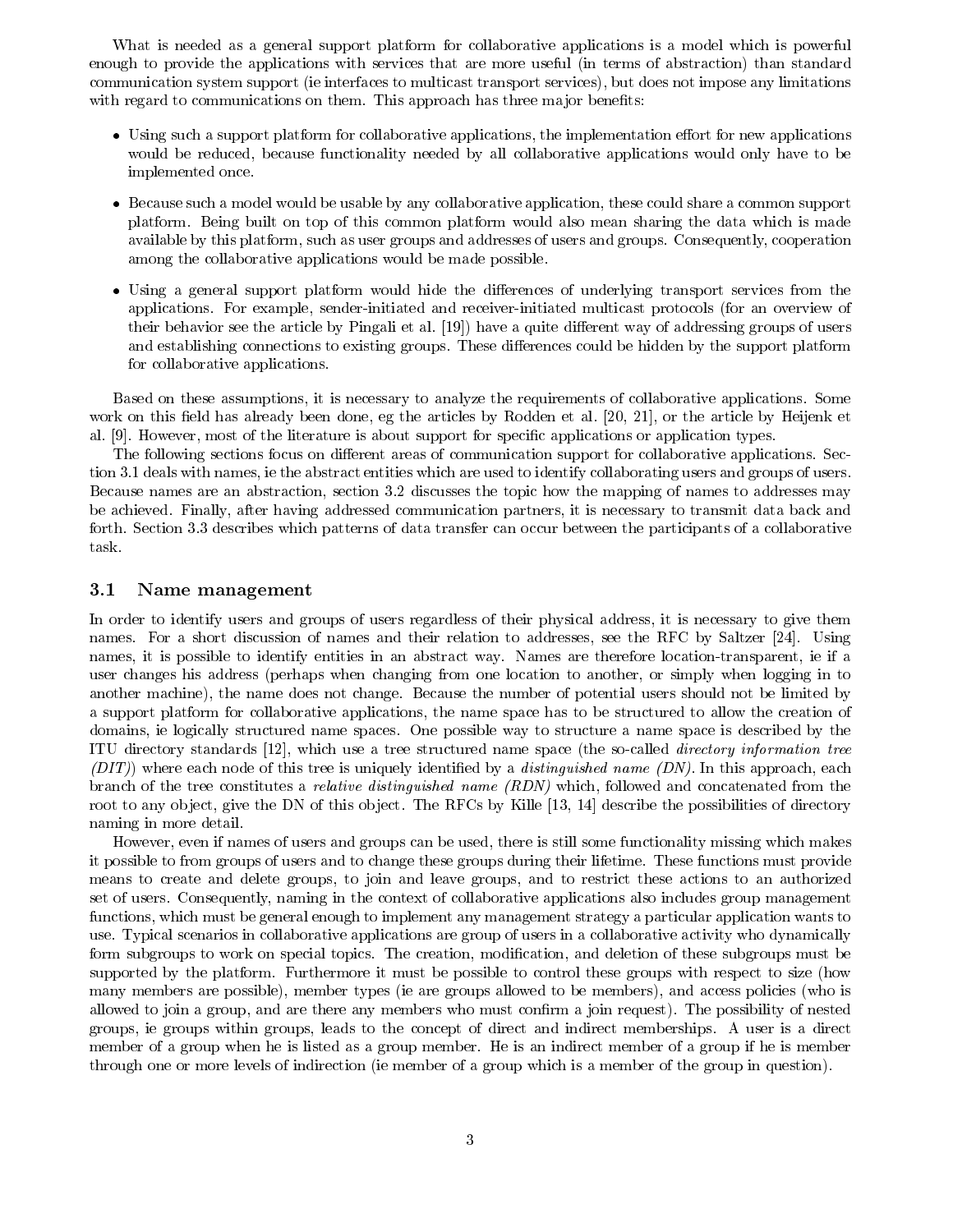What is needed as a general support platform for collaborative applications is a model which is powerful enough to provide the applications with services that are more useful (in terms of abstraction) than standard communication system support (ie interfaces to multicast transport services), but does not impose any limitations with regard to communications on them. This approach has three major benefits:

- Using such a support platform for collaborative applications, the implementation effort for new applications would be reduced, because functionality needed by all collaborative applications would only have to be implemented once.
- Because such a model would be usable by any collaborative application, these could share a common support platform. Being built on top of this common platform would also mean sharing the data which is made available by this platform, such as user groups and addresses of users and groups. Consequently, cooperation among the collaborative applications would be made possible.
- Using a general support platform would hide the differences of underlying transport services from the applications. For example, sender-initiated and receiver-initiated multicast protocols (for an overview of their behavior see the article by Pingali et al. [19]) have a quite different way of addressing groups of users and establishing connections to existing groups. These differences could be hidden by the support platform for collaborative applications.

Based on these assumptions, it is necessary to analyze the requirements of collaborative applications. Some work on this field has already been done, eg the articles by Rodden et al. [20, 21], or the article by Heijenk et al. [9]. However, most of the literature is about support for specic applications or application types.

The following sections focus on different areas of communication support for collaborative applications. Section 3.1 deals with names, ie the abstract entities which are used to identify collaborating users and groups of users. Because names are an abstraction, section 3.2 discusses the topic how the mapping of names to addresses may be achieved. Finally, after having addressed communication partners, it is necessary to transmit data back and forth. Section 3.3 describes which patterns of data transfer can occur between the participants of a collaborative task.

#### 3.1 Name management

In order to identify users and groups of users regardless of their physical address, it is necessary to give them names. For a short discussion of names and their relation to addresses, see the RFC by Saltzer [24]. Using names, it is possible to identify entities in an abstract way. Names are therefore location-transparent, ie if a user changes his address (perhaps when changing from one location to another, or simply when logging in to another machine), the name does not change. Because the number of potential users should not be limited by a support platform for collaborative applications, the name space has to be structured to allow the creation of domains, ie logically structured name spaces. One possible way to structure a name space is described by the ITU directory standards [12], which use a tree structured name space (the so-called directory information tree  $(DIT)$ ) where each node of this tree is uniquely identified by a *distinguished name (DN)*. In this approach, each branch of the tree constitutes a relative distinguished name (RDN) which, followed and concatenated from the root to any object, give the DN of this object. The RFCs by Kille [13, 14] describe the possibilities of directory naming in more detail.

However, even if names of users and groups can be used, there is still some functionality missing which makes it possible to from groups of users and to change these groups during their lifetime. These functions must provide means to create and delete groups, to join and leave groups, and to restrict these actions to an authorized set of users. Consequently, naming in the context of collaborative applications also includes group management functions, which must be general enough to implement any management strategy a particular application wants to use. Typical scenarios in collaborative applications are group of users in a collaborative activity who dynamically form subgroups to work on special topics. The creation, modification, and deletion of these subgroups must be supported by the platform. Furthermore it must be possible to control these groups with respect to size (how many members are possible), member types (ie are groups allowed to be members), and access policies (who is allowed to join a group, and are there any members who must confirm a join request). The possibility of nested groups, ie groups within groups, leads to the concept of direct and indirect memberships. A user is a direct member of a group when he is listed as a group member. He is an indirect member of a group if he is member through one or more levels of indirection (ie member of a group which is a member of the group in question).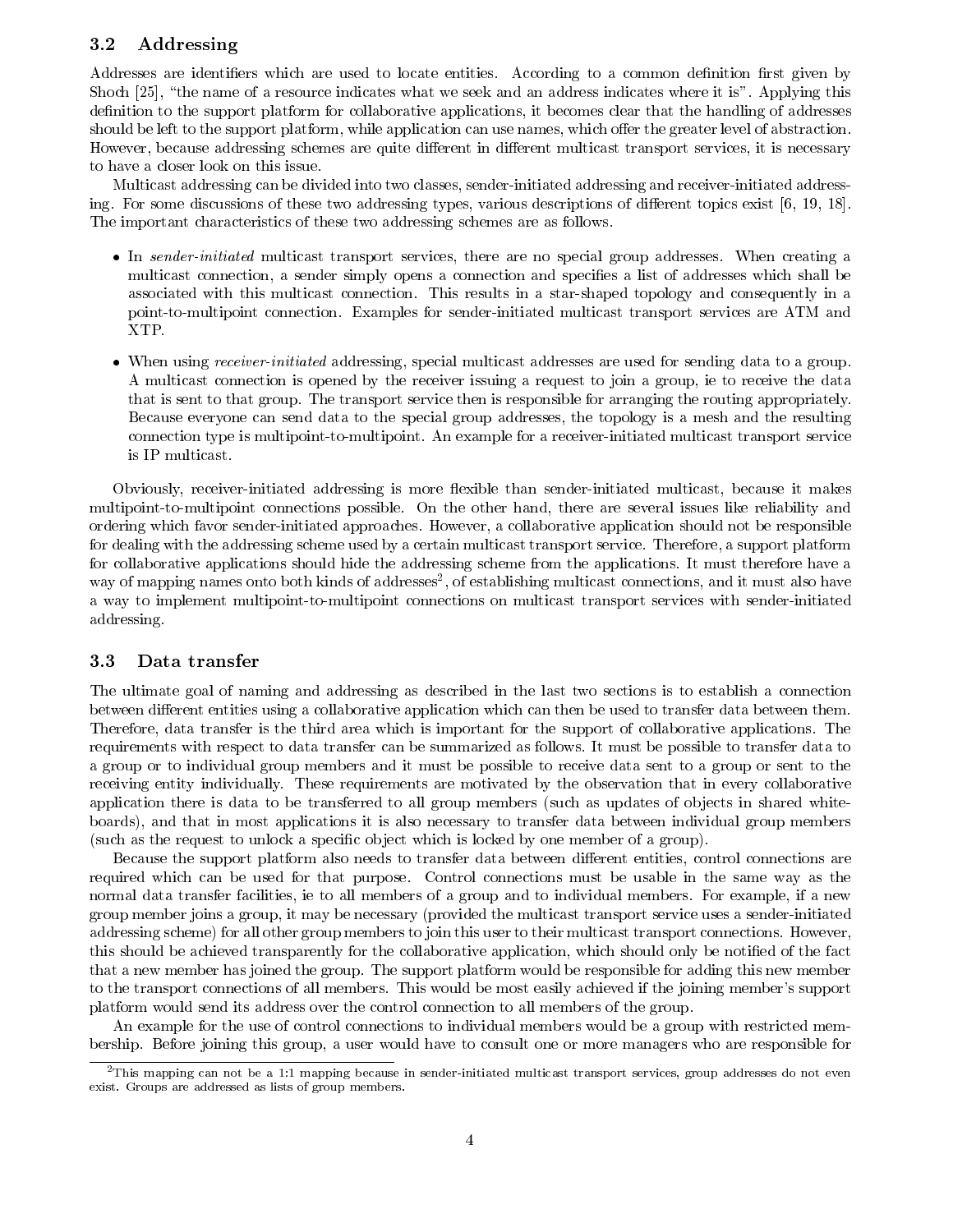#### 3.2 Addressing

Addresses are identifiers which are used to locate entities. According to a common definition first given by Shoch [25], "the name of a resource indicates what we seek and an address indicates where it is". Applying this definition to the support platform for collaborative applications, it becomes clear that the handling of addresses should be left to the support platform, while application can use names, which offer the greater level of abstraction. However, because addressing schemes are quite different in different multicast transport services, it is necessary to have a closer look on this issue.

Multicast addressing can be divided into two classes, sender-initiated addressing and receiver-initiated addressing. For some discussions of these two addressing types, various descriptions of different topics exist [6, 19, 18]. The important characteristics of these two addressing schemes are as follows.

- In sender-initiated multicast transport services, there are no special group addresses. When creating <sup>a</sup> multicast connection, a sender simply opens a connection and species a list of addresses which shall be associated with this multicast connection. This results in a star-shaped topology and consequently in a point-to-multipoint connection. Examples for sender-initiated multicast transport services are ATM and XTP.
- When using receiver-initiated addressing, special multicast addresses are used for sending data to a group. A multicast connection is opened by the receiver issuing a request to join a group, ie to receive the data that is sent to that group. The transport service then is responsible for arranging the routing appropriately. Because everyone can send data to the special group addresses, the topology is a mesh and the resulting connection type is multipoint-to-multipoint. An example for a receiver-initiated multicast transport service is IP multicast.

Obviously, receiver-initiated addressing is more flexible than sender-initiated multicast, because it makes multipoint-to-multipoint connections possible. On the other hand, there are several issues like reliability and ordering which favor sender-initiated approaches. However, a collaborative application should not be responsible for dealing with the addressing scheme used by a certain multicast transport service. Therefore, a support platform for collaborative applications should hide the addressing scheme from the applications. It must therefore have a way of mapping names onto both kinds of addresses", of establishing multicast connections, and it must also have a way to implement multipoint-to-multipoint connections on multicast transport services with sender-initiated addressing.

#### Data transfer 3.3

The ultimate goal of naming and addressing as described in the last two sections is to establish a connection between different entities using a collaborative application which can then be used to transfer data between them. Therefore, data transfer is the third area which is important for the support of collaborative applications. The requirements with respect to data transfer can be summarized as follows. It must be possible to transfer data to a group or to individual group members and it must be possible to receive data sent to a group or sent to the receiving entity individually. These requirements are motivated by the observation that in every collaborative application there is data to be transferred to all group members (such as updates of objects in shared whiteboards), and that in most applications it is also necessary to transfer data between individual group members (such as the request to unlock a specic ob ject which is locked by one member of a group).

Because the support platform also needs to transfer data between different entities, control connections are required which can be used for that purpose. Control connections must be usable in the same way as the normal data transfer facilities, ie to all members of a group and to individual members. For example, if a new group member joins a group, it may be necessary (provided the multicast transport service uses a sender-initiated addressing scheme) for all other group members to join this user to their multicast transport connections. However, this should be achieved transparently for the collaborative application, which should only be notified of the fact that a new member has joined the group. The support platform would be responsible for adding this new member to the transport connections of all members. This would be most easily achieved if the joining member's support platform would send its address over the control connection to all members of the group.

An example for the use of control connections to individual members would be a group with restricted membership. Before joining this group, a user would have to consult one or more managers who are responsible for

 $^{2}$ This mapping can not be a 1:1 mapping because in sender-initiated multicast transport services, group addresses do not even exist. Groups are addressed as lists of group members.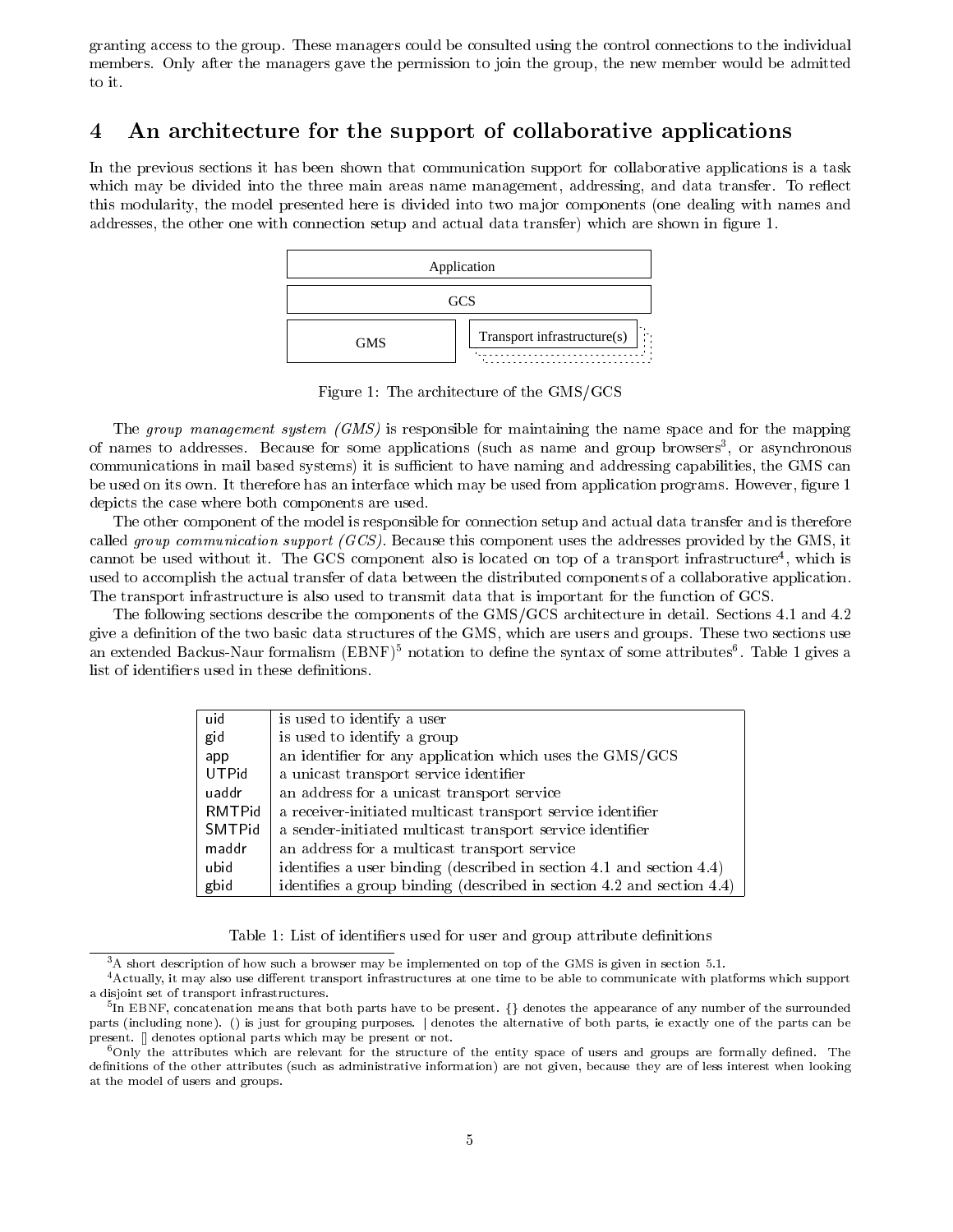granting access to the group. These managers could be consulted using the control connections to the individual members. Only after the managers gave the permission to join the group, the new member would be admitted

## 4 An architecture for the support of collaborative applications

In the previous sections it has been shown that communication support for collaborative applications is a task which may be divided into the three main areas name management, addressing, and data transfer. To reflect this modularity, the model presented here is divided into two major components (one dealing with names and addresses, the other one with connection setup and actual data transfer) which are shown in figure 1.



Figure 1: The architecture of the GMS/GCS

The group management system (GMS) is responsible for maintaining the name space and for the mapping of names to addresses. Because for some applications (such as name and group browsers , or asynchronous communications in mail based systems) it is sufficient to have naming and addressing capabilities, the GMS can be used on its own. It therefore has an interface which may be used from application programs. However, figure 1 depicts the case where both components are used.

The other component of the model is responsible for connection setup and actual data transfer and is therefore called group communication support (GCS). Because this component uses the addresses provided by the GMS, it cannot be used without it. The GCS component also is located on top of a transport infrastructure<sup>4</sup> , which is used to accomplish the actual transfer of data between the distributed components of a collaborative application. The transport infrastructure is also used to transmit data that is important for the function of GCS.

The following sections describe the components of the GMS/GCS architecture in detail. Sections 4.1 and 4.2 give a denition of the two basic data structures of the GMS, which are users and groups. These two sections use an extended Dackus-Naur formalism (EBNF)" notation to define the syntax of some attributes". Table 1 gives a list of identifiers used in these definitions.

| uid    | is used to identify a user                                                 |
|--------|----------------------------------------------------------------------------|
| gid    | is used to identify a group                                                |
| app    | an identifier for any application which uses the GMS/GCS                   |
| UTPid  | a unicast transport service identifier                                     |
| uaddr  | an address for a unicast transport service                                 |
| RMTPid | a receiver-initiated multicast transport service identifier                |
| SMTPid | a sender-initiated multicast transport service identifier                  |
| maddr  | an address for a multicast transport service                               |
| ubid   | identifies a user binding (described in section 4.1 and section 4.4)       |
| gbid   | identifies a group binding (described in section $4.2$ and section $4.4$ ) |

Table 1: List of identifiers used for user and group attribute definitions

 $3A$  short description of how such a browser may be implemented on top of the GMS is given in section 5.1.

 $4$ Actually, it may also use different transport infrastructures at one time to be able to communicate with platforms which support a disjoint set of transport infrastructures.

 $^5\! \rm In$  EBNF, concatenation means that both parts have to be present.  $\{\}$  denotes the appearance of any number of the surrounded parts (including none). () is just for grouping purposes. j denotes the alternative of both parts, ie exactly one of the parts can be present. [] denotes optional parts which may be present or not.

 $6$ Only the attributes which are relevant for the structure of the entity space of users and groups are formally defined. The definitions of the other attributes (such as administrative information) are not given, because they are of less interest when looking at the model of users and groups.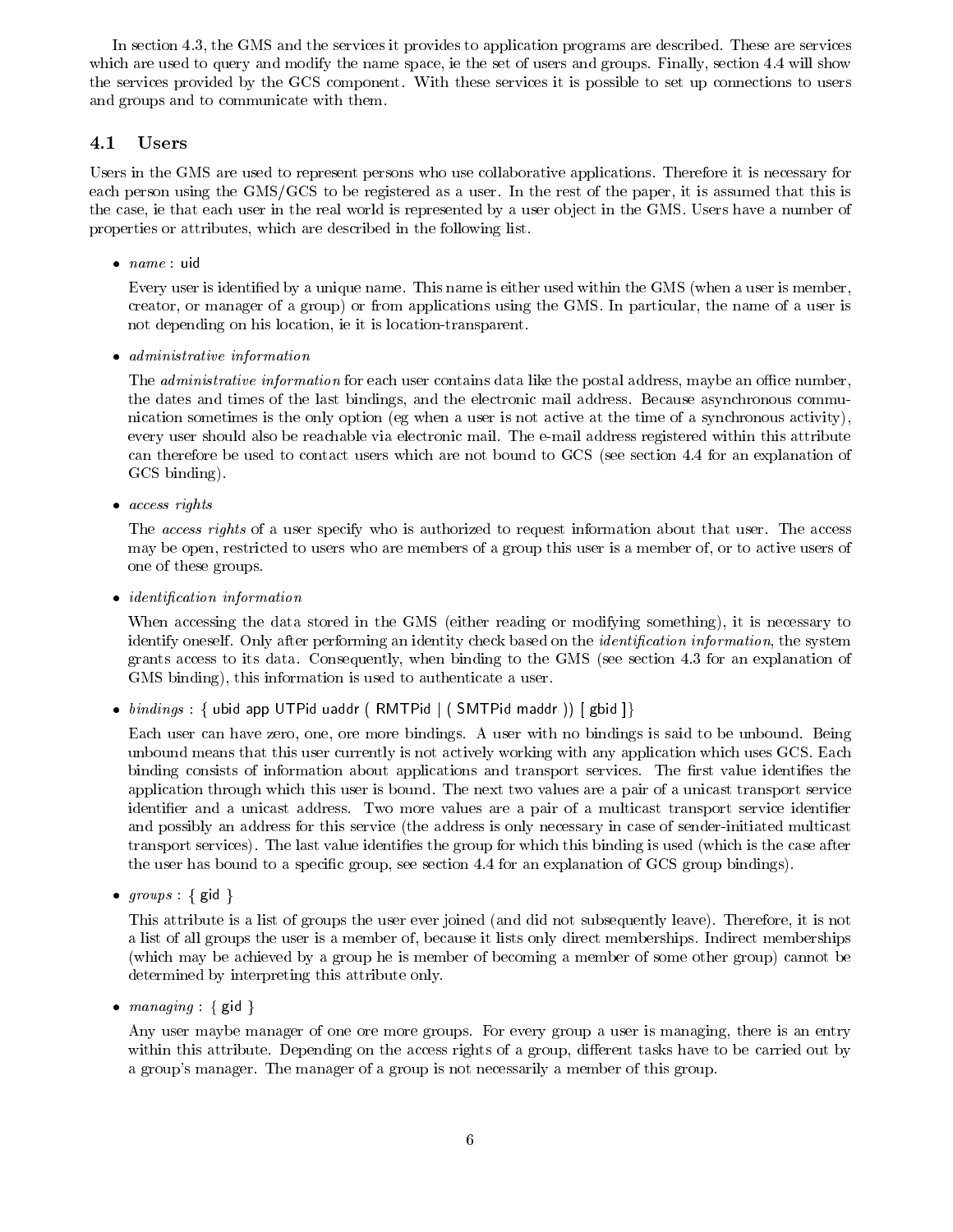In section 4.3, the GMS and the services it provides to application programs are described. These are services which are used to query and modify the name space, ie the set of users and groups. Finally, section 4.4 will show the services provided by the GCS component. With these services it is possible to set up connections to users and groups and to communicate with them.

### 4.1 Users

Users in the GMS are used to represent persons who use collaborative applications. Therefore it is necessary for each person using the GMS/GCS to be registered as a user. In the rest of the paper, it is assumed that this is the case, ie that each user in the real world is represented by a user object in the GMS. Users have a number of properties or attributes, which are described in the following list.

 $•$   $name:$  uid

Every user is identied by a unique name. This name is either used within the GMS (when a user is member, creator, or manager of a group) or from applications using the GMS. In particular, the name of a user is not depending on his location, ie it is location-transparent.

administrative information

The *administrative information* for each user contains data like the postal address, maybe an office number, the dates and times of the last bindings, and the electronic mail address. Because asynchronous communication sometimes is the only option (eg when a user is not active at the time of a synchronous activity), every user should also be reachable via electronic mail. The e-mail address registered within this attribute can therefore be used to contact users which are not bound to GCS (see section 4.4 for an explanation of GCS binding).

access rights

The access rights of a user specify who is authorized to request information about that user. The access may be open, restricted to users who are members of a group this user is a member of, or to active users of one of these groups.

• *identification* information

When accessing the data stored in the GMS (either reading or modifying something), it is necessary to identify oneself. Only after performing an identity check based on the *identification information*, the system grants access to its data. Consequently, when binding to the GMS (see section 4.3 for an explanation of GMS binding), this information is used to authenticate a user.

•  $\textit{bindings}$  : { ubid app UTPid uaddr ( RMTPid | ( SMTPid maddr )) [ gbid ]}

Each user can have zero, one, ore more bindings. A user with no bindings is said to be unbound. Being unbound means that this user currently is not actively working with any application which uses GCS. Each binding consists of information about applications and transport services. The first value identifies the application through which this user is bound. The next two values are a pair of a unicast transport service identifier and a unicast address. Two more values are a pair of a multicast transport service identifier and possibly an address for this service (the address is only necessary in case of sender-initiated multicast transport services). The last value identies the group for which this binding is used (which is the case after the user has bound to a specic group, see section 4.4 for an explanation of GCS group bindings).

•  $groups \{ \text{gid } \}$ 

This attribute is a list of groups the user ever joined (and did not subsequently leave). Therefore, it is not a list of all groups the user is a member of, because it lists only direct memberships. Indirect memberships (which may be achieved by a group he is member of becoming a member of some other group) cannot be determined by interpreting this attribute only.

•  $manging \{ \text{gid } \}$ 

Any user maybe manager of one ore more groups. For every group a user is managing, there is an entry within this attribute. Depending on the access rights of a group, different tasks have to be carried out by a group's manager. The manager of a group is not necessarily a member of this group.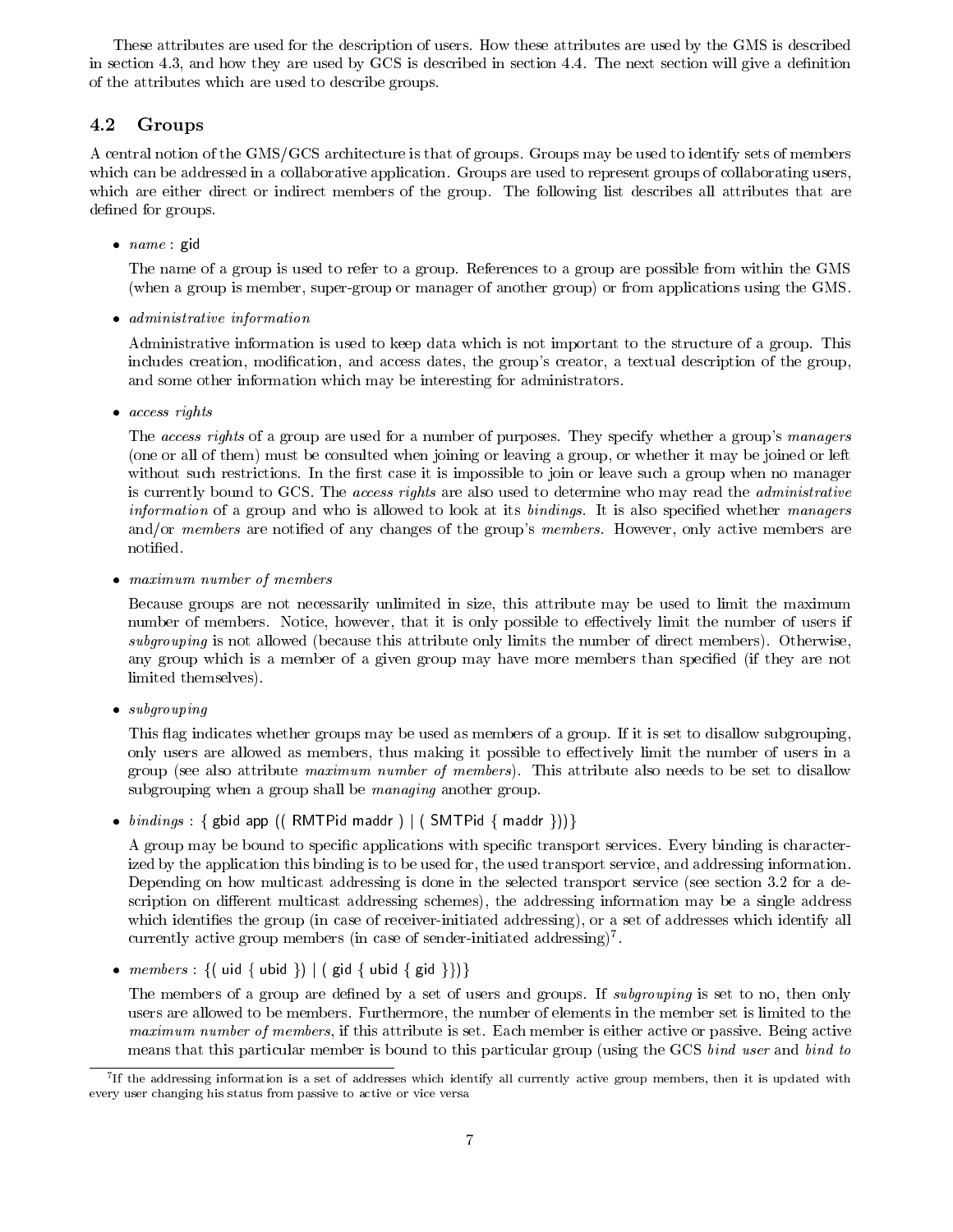These attributes are used for the description of users. How these attributes are used by the GMS is described in section 4.3, and how they are used by GCS is described in section 4.4. The next section will give a definition of the attributes which are used to describe groups.

### 4.2 Groups

A central notion of the GMS/GCS architecture is that of groups. Groups may be used to identify sets of members which can be addressed in a collaborative application. Groups are used to represent groups of collaborating users, which are either direct or indirect members of the group. The following list describes all attributes that are defined for groups.

 $\bullet$   $name$   $\gtrsim$  gid

The name of a group is used to refer to a group. References to a group are possible from within the GMS (when a group is member, super-group or manager of another group) or from applications using the GMS.

administrative information

Administrative information is used to keep data which is not important to the structure of a group. This includes creation, modication, and access dates, the group's creator, a textual description of the group, and some other information which may be interesting for administrators.

access rights

The access rights of a group are used for a number of purposes. They specify whether a group's managers (one or all of them) must be consulted when joining or leaving a group, or whether it may be joined or left without such restrictions. In the first case it is impossible to join or leave such a group when no manager is currently bound to GCS. The access rights are also used to determine who may read the administrative information of a group and who is allowed to look at its bindings. It is also specified whether managers and/or members are notified of any changes of the group's members. However, only active members are notified.

maximum number of members

Because groups are not necessarily unlimited in size, this attribute may be used to limit the maximum number of members. Notice, however, that it is only possible to effectively limit the number of users if subgrouping is not allowed (because this attribute only limits the number of direct members). Otherwise, any group which is a member of a given group may have more members than specified (if they are not limited themselves).

subgrouping

This flag indicates whether groups may be used as members of a group. If it is set to disallow subgrouping, only users are allowed as members, thus making it possible to effectively limit the number of users in a group (see also attribute maximum number of members). This attribute also needs to be set to disallow subgrouping when a group shall be *managing* another group.

•  $\textit{bindings}$  : { gbid app (( RMTPid maddr ) | ( SMTPid { maddr }))}

A group may be bound to specic applications with specic transport services. Every binding is characterized by the application this binding is to be used for, the used transport service, and addressing information. Depending on how multicast addressing is done in the selected transport service (see section 3.2 for a description on different multicast addressing schemes), the addressing information may be a single address which identies the group (in case of receiver-initiated addressing), or a set of addresses which identify all currently active group members (in case of sender-initiated addressing)<sup>7</sup> .

•  $members : \{ (uid { ubid } ) | ( grid { ubid } { grid } ) \}$ 

The members of a group are defined by a set of users and groups. If *subgrouping* is set to no, then only users are allowed to be members. Furthermore, the number of elements in the member set is limited to the maximum number of members, if this attribute is set. Each member is either active or passive. Being active means that this particular member is bound to this particular group (using the GCS bind user and bind to

<sup>7</sup> If the addressing information is a set of addresses which identify all currently active group members, then it is updated with every user changing his status from passive to active or vice versa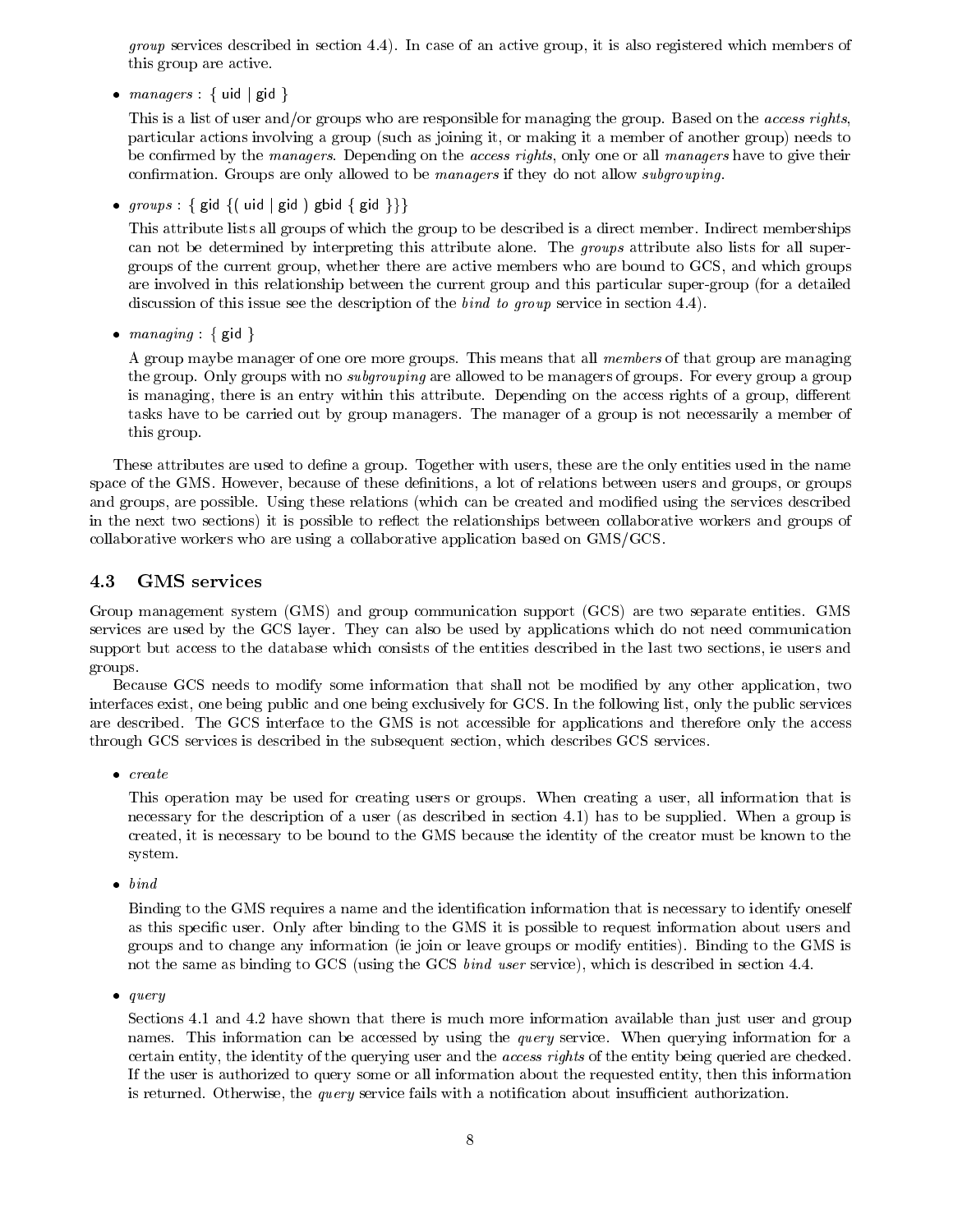group services described in section 4.4). In case of an active group, it is also registered which members of this group are active.

•  $managers$  : { uid | gid }

This is a list of user and/or groups who are responsible for managing the group. Based on the access rights, particular actions involving a group (such as joining it, or making it a member of another group) needs to be confirmed by the managers. Depending on the access rights, only one or all managers have to give their confirmation. Groups are only allowed to be *managers* if they do not allow *subgrouping*.

•  $groups: \{ gid \{ (uid \mid gid) \} \}$ 

This attribute lists all groups of which the group to be described is a direct member. Indirect memberships can not be determined by interpreting this attribute alone. The groups attribute also lists for all supergroups of the current group, whether there are active members who are bound to GCS, and which groups are involved in this relationship between the current group and this particular super-group (for a detailed discussion of this issue see the description of the *bind to group* service in section 4.4).

•  $manging$  : { gid }

A group maybe manager of one ore more groups. This means that all members of that group are managing the group. Only groups with no *subgrouping* are allowed to be managers of groups. For every group a group is managing, there is an entry within this attribute. Depending on the access rights of a group, different tasks have to be carried out by group managers. The manager of a group is not necessarily a member of this group.

These attributes are used to define a group. Together with users, these are the only entities used in the name space of the GMS. However, because of these definitions, a lot of relations between users and groups, or groups and groups, are possible. Using these relations (which can be created and modied using the services described in the next two sections) it is possible to reflect the relationships between collaborative workers and groups of collaborative workers who are using a collaborative application based on GMS/GCS.

### 4.3 GMS services

Group management system (GMS) and group communication support (GCS) are two separate entities. GMS services are used by the GCS layer. They can also be used by applications which do not need communication support but access to the database which consists of the entities described in the last two sections, ie users and groups.

Because GCS needs to modify some information that shall not be modied by any other application, two interfaces exist, one being public and one being exclusively for GCS. In the following list, only the public services are described. The GCS interface to the GMS is not accessible for applications and therefore only the access through GCS services is described in the subsequent section, which describes GCS services.

 $\bullet$  create

This operation may be used for creating users or groups. When creating a user, all information that is necessary for the description of a user (as described in section 4.1) has to be supplied. When a group is created, it is necessary to be bound to the GMS because the identity of the creator must be known to the system.

 $\bullet$  bind

Binding to the GMS requires a name and the identification information that is necessary to identify oneself as this specic user. Only after binding to the GMS it is possible to request information about users and groups and to change any information (ie join or leave groups or modify entities). Binding to the GMS is not the same as binding to GCS (using the GCS *bind user service*), which is described in section 4.4.

 $\bullet$  query

Sections 4.1 and 4.2 have shown that there is much more information available than just user and group names. This information can be accessed by using the *query* service. When querying information for a certain entity, the identity of the querying user and the access rights of the entity being queried are checked. If the user is authorized to query some or all information about the requested entity, then this information is returned. Otherwise, the *query* service fails with a notification about insufficient authorization.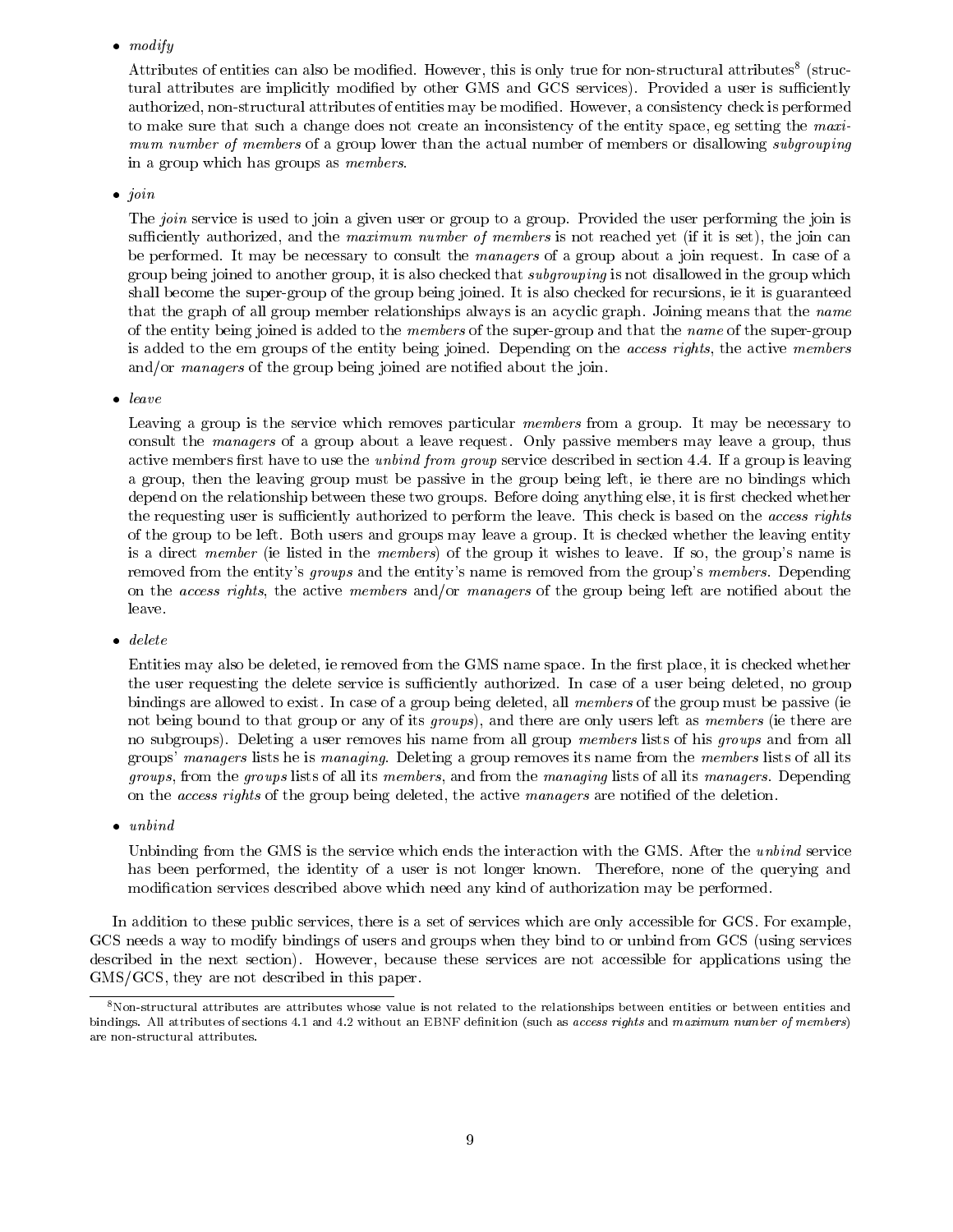#### $\bullet \; modify$

Attributes of entities can also be modified. However, this is only true for non-structural attributes (structural attributes are implicitly modified by other GMS and GCS services). Provided a user is sufficiently authorized, non-structural attributes of entities may be modied. However, a consistency check is performed to make sure that such a change does not create an inconsistency of the entity space, eg setting the maximum number of members of a group lower than the actual number of members or disallowing subgrouping in a group which has groups as members.

#### $\bullet$  join

The join service is used to join a given user or group to a group. Provided the user performing the join is sufficiently authorized, and the *maximum number of members* is not reached yet (if it is set), the join can be performed. It may be necessary to consult the managers of a group about a join request. In case of a group being joined to another group, it is also checked that *subgrouping* is not disallowed in the group which shall become the super-group of the group being joined. It is also checked for recursions, ie it is guaranteed that the graph of all group member relationships always is an acyclic graph. Joining means that the name of the entity being joined is added to the *members* of the super-group and that the *name* of the super-group is added to the em groups of the entity being joined. Depending on the access rights, the active members and/or managers of the group being joined are notified about the join.

Leaving a group is the service which removes particular members from a group. It may be necessary to consult the managers of a group about a leave request. Only passive members may leave a group, thus active members first have to use the unbind from group service described in section 4.4. If a group is leaving a group, then the leaving group must be passive in the group being left, ie there are no bindings which depend on the relationship between these two groups. Before doing anything else, it is first checked whether the requesting user is sufficiently authorized to perform the leave. This check is based on the *access rights* of the group to be left. Both users and groups may leave a group. It is checked whether the leaving entity is a direct member (ie listed in the members) of the group it wishes to leave. If so, the group's name is removed from the entity's groups and the entity's name is removed from the group's members. Depending on the access rights, the active members and/or managers of the group being left are notified about the leave.

 $\bullet$  delete

Entities may also be deleted, ie removed from the GMS name space. In the first place, it is checked whether the user requesting the delete service is sufficiently authorized. In case of a user being deleted, no group bindings are allowed to exist. In case of a group being deleted, all members of the group must be passive (ie not being bound to that group or any of its groups), and there are only users left as members (ie there are no subgroups). Deleting a user removes his name from all group members lists of his groups and from all groups' managers lists he is managing. Deleting a group removes its name from the members lists of all its groups, from the groups lists of all its members, and from the managing lists of all its managers. Depending on the access rights of the group being deleted, the active managers are notified of the deletion.

 $\bullet$  unbind

Unbinding from the GMS is the service which ends the interaction with the GMS. After the *unbind* service has been performed, the identity of a user is not longer known. Therefore, none of the querying and modication services described above which need any kind of authorization may be performed.

In addition to these public services, there is a set of services which are only accessible for GCS. For example, GCS needs a way to modify bindings of users and groups when they bind to or unbind from GCS (using services described in the next section). However, because these services are not accessible for applications using the GMS/GCS, they are not described in this paper.

<sup>8</sup>Non-structural attributes are attributes whose value is not related to the relationships between entities or between entities and bindings. All attributes of sections 4.1 and 4.2 without an EBNF definition (such as access rights and maximum number of members) are non-structural attributes.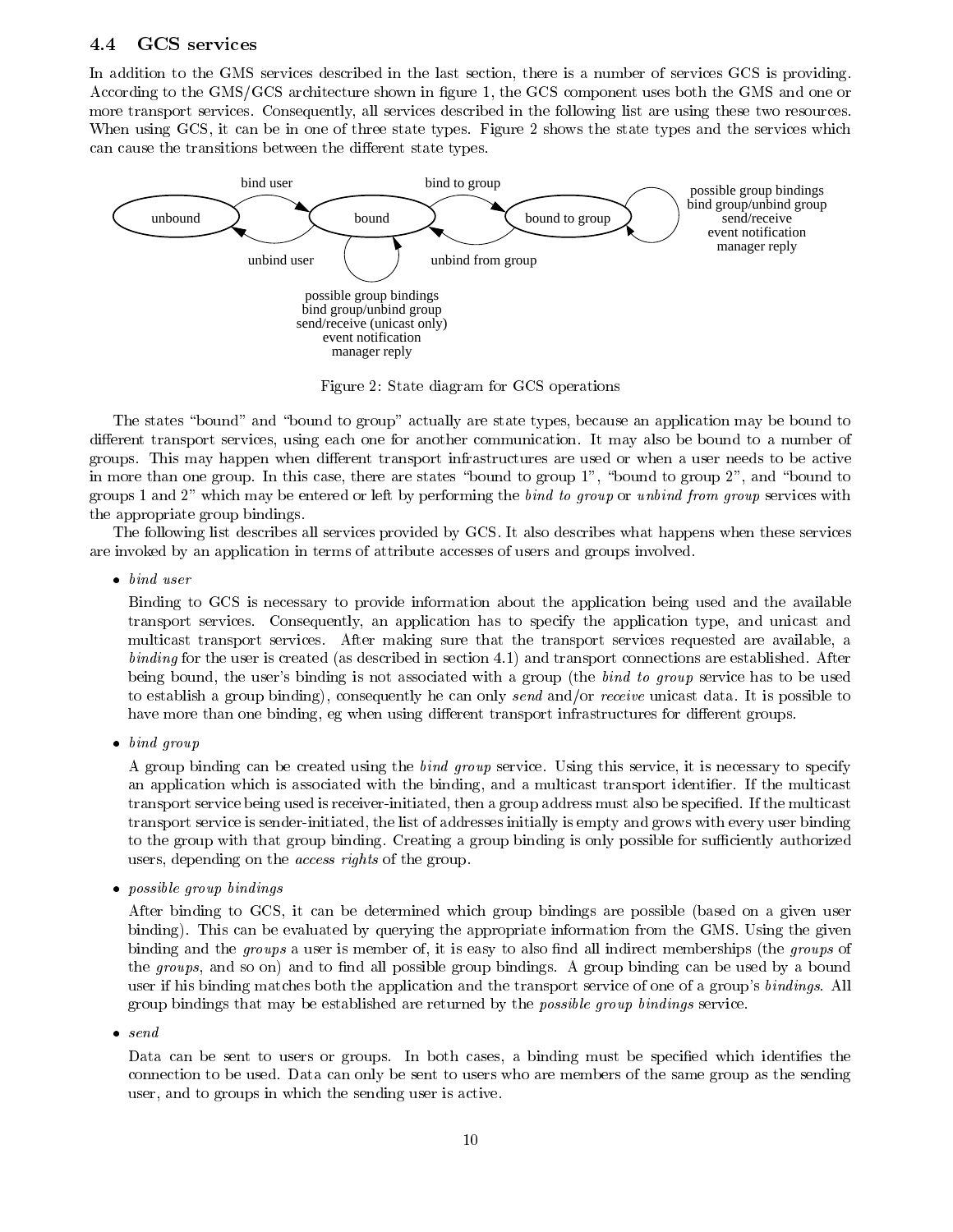### 4.4 GCS services

In addition to the GMS services described in the last section, there is a number of services GCS is providing. According to the GMS/GCS architecture shown in figure 1, the GCS component uses both the GMS and one or more transport services. Consequently, all services described in the following list are using these two resources. When using GCS, it can be in one of three state types. Figure 2 shows the state types and the services which can cause the transitions between the different state types.



Figure 2: State diagram for GCS operations

The states "bound" and "bound to group" actually are state types, because an application may be bound to different transport services, using each one for another communication. It may also be bound to a number of groups. This may happen when different transport infrastructures are used or when a user needs to be active in more than one group. In this case, there are states "bound to group  $1$ ", "bound to group  $2$ ", and "bound to groups 1 and 2" which may be entered or left by performing the bind to group or unbind from group services with the appropriate group bindings.

The following list describes all services provided by GCS. It also describes what happens when these services are invoked by an application in terms of attribute accesses of users and groups involved.

• bind user

Binding to GCS is necessary to provide information about the application being used and the available transport services. Consequently, an application has to specify the application type, and unicast and multicast transport services. After making sure that the transport services requested are available, a binding for the user is created (as described in section 4.1) and transport connections are established. After being bound, the user's binding is not associated with a group (the bind to group service has to be used to establish a group binding), consequently he can only send and/or receive unicast data. It is possible to have more than one binding, eg when using different transport infrastructures for different groups.

• bind group

A group binding can be created using the bind group service. Using this service, it is necessary to specify an application which is associated with the binding, and a multicast transport identier. If the multicast transport service being used is receiver-initiated, then a group address must also be specied. If the multicast transport service is sender-initiated, the list of addresses initially is empty and grows with every user binding to the group with that group binding. Creating a group binding is only possible for sufficiently authorized users, depending on the access rights of the group.

possible group bindings

After binding to GCS, it can be determined which group bindings are possible (based on a given user binding). This can be evaluated by querying the appropriate information from the GMS. Using the given binding and the *groups* a user is member of, it is easy to also find all indirect memberships (the *groups* of the groups, and so on) and to find all possible group bindings. A group binding can be used by a bound user if his binding matches both the application and the transport service of one of a group's bindings. All group bindings that may be established are returned by the possible group bindings service.

• send

Data can be sent to users or groups. In both cases, a binding must be specified which identifies the connection to be used. Data can only be sent to users who are members of the same group as the sending user, and to groups in which the sending user is active.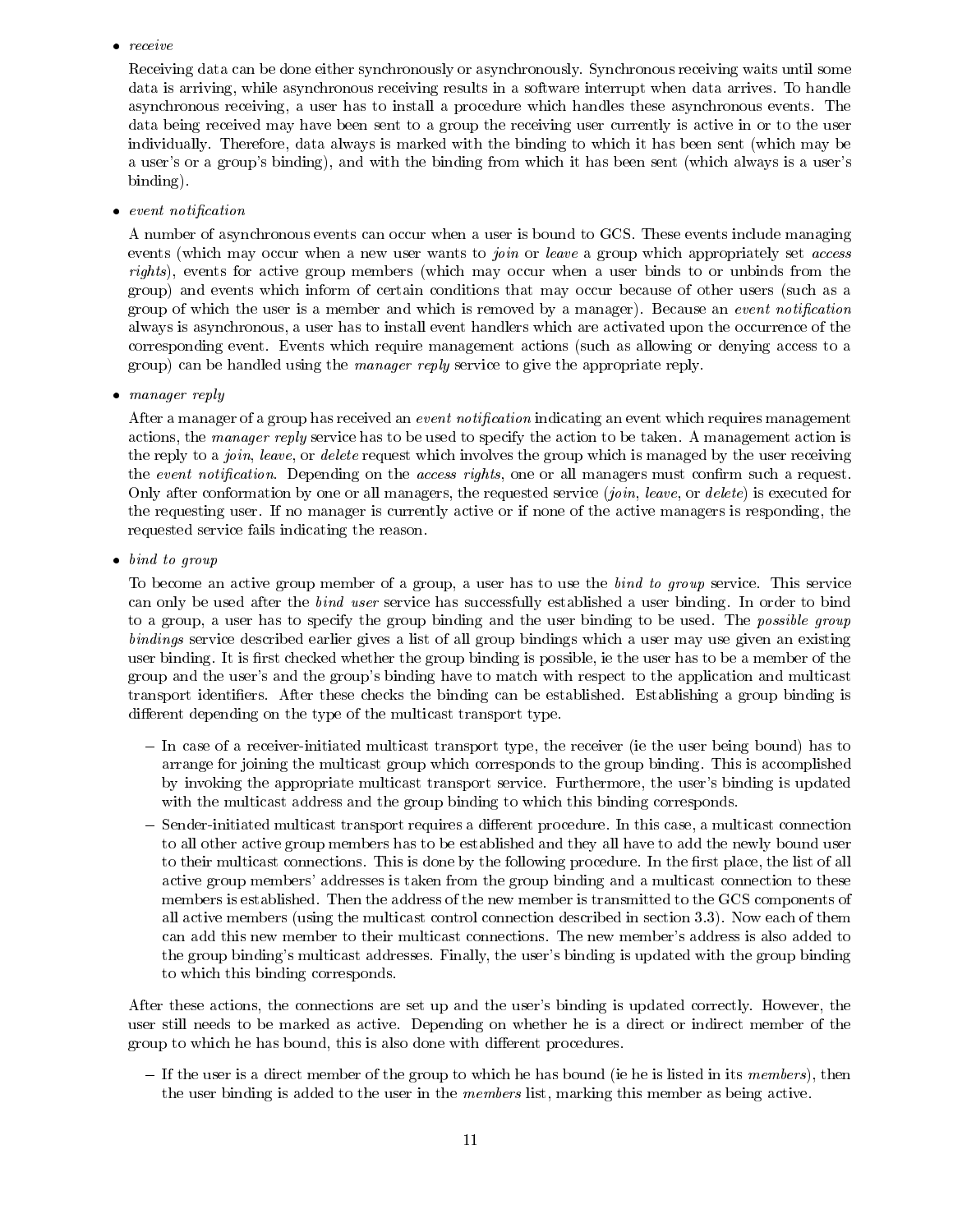• receive

Receiving data can be done either synchronously or asynchronously. Synchronous receiving waits until some data is arriving, while asynchronous receiving results in a software interrupt when data arrives. To handle asynchronous receiving, a user has to install a procedure which handles these asynchronous events. The data being received may have been sent to a group the receiving user currently is active in or to the user individually. Therefore, data always is marked with the binding to which it has been sent (which may be a user's or a group's binding), and with the binding from which it has been sent (which always is a user's binding).

 $\bullet$  event notification

A number of asynchronous events can occur when a user is bound to GCS. These events include managing events (which may occur when a new user wants to *join* or leave a group which appropriately set access rights), events for active group members (which may occur when a user binds to or unbinds from the group) and events which inform of certain conditions that may occur because of other users (such as a group of which the user is a member and which is removed by a manager). Because an event notification always is asynchronous, a user has to install event handlers which are activated upon the occurrence of the corresponding event. Events which require management actions (such as allowing or denying access to a group) can be handled using the manager reply service to give the appropriate reply.

• manager reply

After a manager of a group has received an *event notification* indicating an event which requires management actions, the manager reply service has to be used to specify the action to be taken. A management action is the reply to a *join*, leave, or delete request which involves the group which is managed by the user receiving the event notification. Depending on the access rights, one or all managers must confirm such a request. Only after conformation by one or all managers, the requested service *(join, leave, or delete)* is executed for the requesting user. If no manager is currently active or if none of the active managers is responding, the requested service fails indicating the reason.

• bind to group

To become an active group member of a group, a user has to use the bind to group service. This service can only be used after the bind user service has successfully established a user binding. In order to bind to a group, a user has to specify the group binding and the user binding to be used. The possible group bindings service described earlier gives a list of all group bindings which a user may use given an existing user binding. It is first checked whether the group binding is possible, ie the user has to be a member of the group and the user's and the group's binding have to match with respect to the application and multicast transport identiers. After these checks the binding can be established. Establishing a group binding is different depending on the type of the multicast transport type.

- ${\bf m}$  case of a receiver-initiated multicast transport type, the receiver (ie the user being bound) has to arrange for joining the multicast group which corresponds to the group binding. This is accomplished by invoking the appropriate multicast transport service. Furthermore, the user's binding is updated with the multicast address and the group binding to which this binding corresponds.
- ${\tt S}$  sender-initiated multicast transport requires a different procedure. In this case, a multicast connection to all other active group members has to be established and they all have to add the newly bound user to their multicast connections. This is done by the following procedure. In the first place, the list of all active group members' addresses is taken from the group binding and a multicast connection to these members is established. Then the address of the new member is transmitted to the GCS components of all active members (using the multicast control connection described in section 3.3). Now each of them can add this new member to their multicast connections. The new member's address is also added to the group binding's multicast addresses. Finally, the user's binding is updated with the group binding to which this binding corresponds.

After these actions, the connections are set up and the user's binding is updated correctly. However, the user still needs to be marked as active. Depending on whether he is a direct or indirect member of the group to which he has bound, this is also done with different procedures.

 ${\bf n}$  the user is a direct member of the group to which he has bound (ie he is hotel in its member  $\eta$ ), then the user binding is added to the user in the *members* list, marking this member as being active.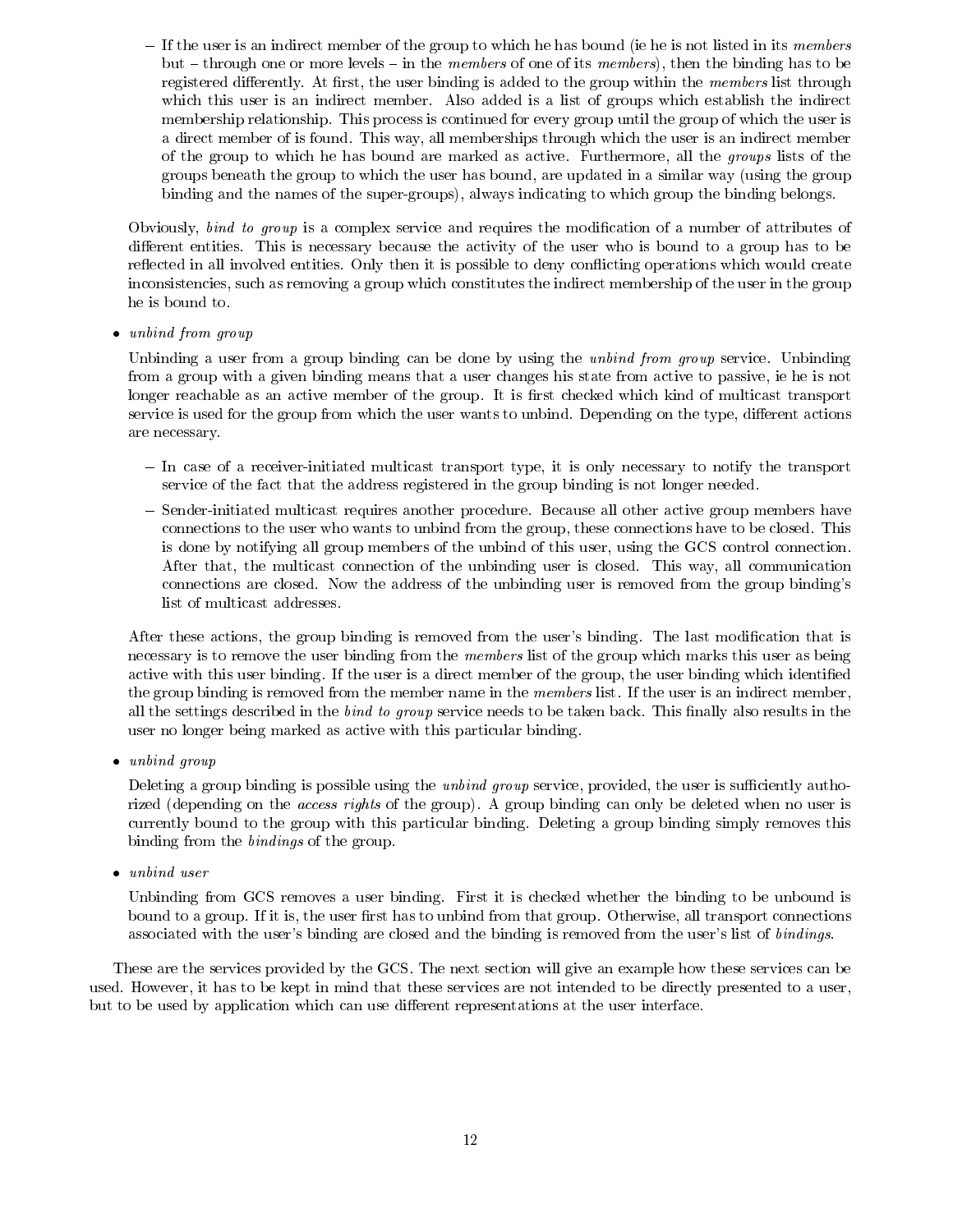${\bf n}$  the user is an indirect member of the group to which he has bound (ie he is not listed in its members but  ${\rm -}$  through one or more levels  ${\rm -}$  in the members of one of its members), then the binding has to be registered differently. At first, the user binding is added to the group within the members list through which this user is an indirect member. Also added is a list of groups which establish the indirect membership relationship. This process is continued for every group until the group of which the user is a direct member of is found. This way, all memberships through which the user is an indirect member of the group to which he has bound are marked as active. Furthermore, all the groups lists of the groups beneath the group to which the user has bound, are updated in a similar way (using the group binding and the names of the super-groups), always indicating to which group the binding belongs.

Obviously, bind to group is a complex service and requires the modication of a number of attributes of different entities. This is necessary because the activity of the user who is bound to a group has to be reflected in all involved entities. Only then it is possible to deny conflicting operations which would create inconsistencies, such as removing a group which constitutes the indirect membership of the user in the group he is bound to.

• unbind from group

Unbinding a user from a group binding can be done by using the *unbind from group* service. Unbinding from a group with a given binding means that a user changes his state from active to passive, ie he is not longer reachable as an active member of the group. It is first checked which kind of multicast transport service is used for the group from which the user wants to unbind. Depending on the type, different actions are necessary.

- ${\bf m}$  receiver a receiver-initiated multicast transport type, it is only necessary to notify the transport service of the fact that the address registered in the group binding is not longer needed.
- ${\tt S}$  sender-initiated multicast requires another procedure. Because an other active group members have connections to the user who wants to unbind from the group, these connections have to be closed. This is done by notifying all group members of the unbind of this user, using the GCS control connection. After that, the multicast connection of the unbinding user is closed. This way, all communication connections are closed. Now the address of the unbinding user is removed from the group binding's list of multicast addresses.

After these actions, the group binding is removed from the user's binding. The last modification that is necessary is to remove the user binding from the members list of the group which marks this user as being active with this user binding. If the user is a direct member of the group, the user binding which identied the group binding is removed from the member name in the members list. If the user is an indirect member, all the settings described in the bind to group service needs to be taken back. This finally also results in the user no longer being marked as active with this particular binding.

• unbind group

Deleting a group binding is possible using the *unbind group* service, provided, the user is sufficiently authorized (depending on the *access rights* of the group). A group binding can only be deleted when no user is currently bound to the group with this particular binding. Deleting a group binding simply removes this binding from the bindings of the group.

• unbind user

Unbinding from GCS removes a user binding. First it is checked whether the binding to be unbound is bound to a group. If it is, the user first has to unbind from that group. Otherwise, all transport connections associated with the user's binding are closed and the binding is removed from the user's list of bindings.

These are the services provided by the GCS. The next section will give an example how these services can be used. However, it has to be kept in mind that these services are not intended to be directly presented to a user, but to be used by application which can use different representations at the user interface.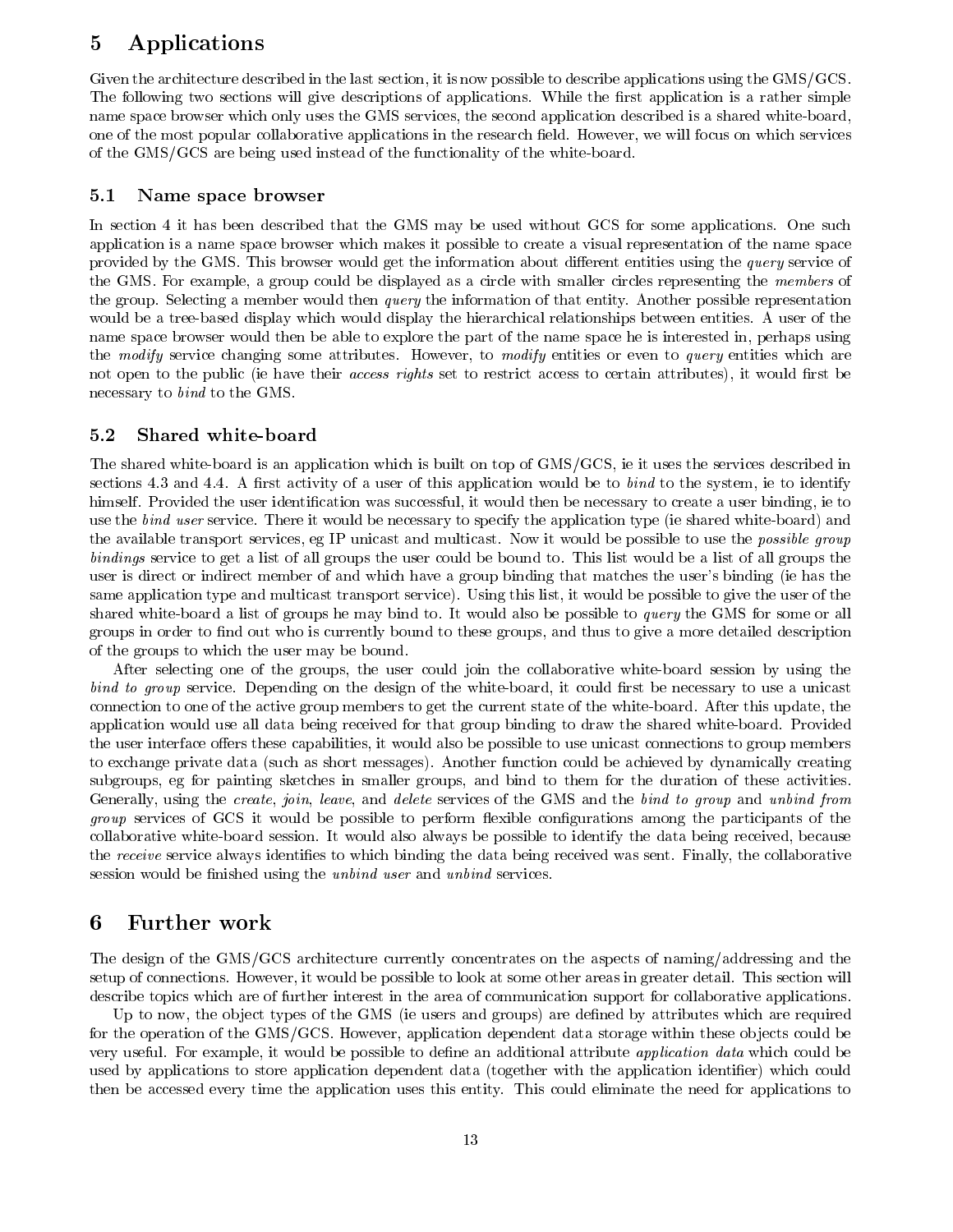## 5 Applications

Given the architecture described in the last section, it is now possible to describe applications using the GMS/GCS. The following two sections will give descriptions of applications. While the first application is a rather simple name space browser which only uses the GMS services, the second application described is a shared white-board, one of the most popular collaborative applications in the research field. However, we will focus on which services of the GMS/GCS are being used instead of the functionality of the white-board.

#### 5.1 Name space browser

In section 4 it has been described that the GMS may be used without GCS for some applications. One such application is a name space browser which makes it possible to create a visual representation of the name space provided by the GMS. This browser would get the information about different entities using the *query* service of the GMS. For example, a group could be displayed as a circle with smaller circles representing the members of the group. Selecting a member would then *query* the information of that entity. Another possible representation would be a tree-based display which would display the hierarchical relationships between entities. A user of the name space browser would then be able to explore the part of the name space he is interested in, perhaps using the modify service changing some attributes. However, to modify entities or even to query entities which are not open to the public (ie have their access rights set to restrict access to certain attributes), it would first be necessary to bind to the GMS.

#### 5.2 Shared white-board

The shared white-board is an application which is built on top of GMS/GCS, ie it uses the services described in sections 4.3 and 4.4. A first activity of a user of this application would be to bind to the system, ie to identify himself. Provided the user identification was successful, it would then be necessary to create a user binding, ie to use the *bind user* service. There it would be necessary to specify the application type (ie shared white-board) and the available transport services, eg IP unicast and multicast. Now it would be possible to use the *possible group* bindings service to get a list of all groups the user could be bound to. This list would be a list of all groups the user is direct or indirect member of and which have a group binding that matches the user's binding (ie has the same application type and multicast transport service). Using this list, it would be possible to give the user of the shared white-board a list of groups he may bind to. It would also be possible to query the GMS for some or all groups in order to find out who is currently bound to these groups, and thus to give a more detailed description of the groups to which the user may be bound.

After selecting one of the groups, the user could join the collaborative white-board session by using the bind to group service. Depending on the design of the white-board, it could first be necessary to use a unicast connection to one of the active group members to get the current state of the white-board. After this update, the application would use all data being received for that group binding to draw the shared white-board. Provided the user interface offers these capabilities, it would also be possible to use unicast connections to group members to exchange private data (such as short messages). Another function could be achieved by dynamically creating subgroups, eg for painting sketches in smaller groups, and bind to them for the duration of these activities. Generally, using the create, join, leave, and delete services of the GMS and the bind to group and unbind from group services of GCS it would be possible to perform flexible configurations among the participants of the collaborative white-board session. It would also always be possible to identify the data being received, because the *receive* service always identifies to which binding the data being received was sent. Finally, the collaborative session would be finished using the *unbind user* and *unbind* services.

## 6 Further work

The design of the GMS/GCS architecture currently concentrates on the aspects of naming/addressing and the setup of connections. However, it would be possible to look at some other areas in greater detail. This section will describe topics which are of further interest in the area of communication support for collaborative applications.

Up to now, the object types of the GMS (ie users and groups) are defined by attributes which are required for the operation of the GMS/GCS. However, application dependent data storage within these objects could be very useful. For example, it would be possible to define an additional attribute *application data* which could be used by applications to store application dependent data (together with the application identier) which could then be accessed every time the application uses this entity. This could eliminate the need for applications to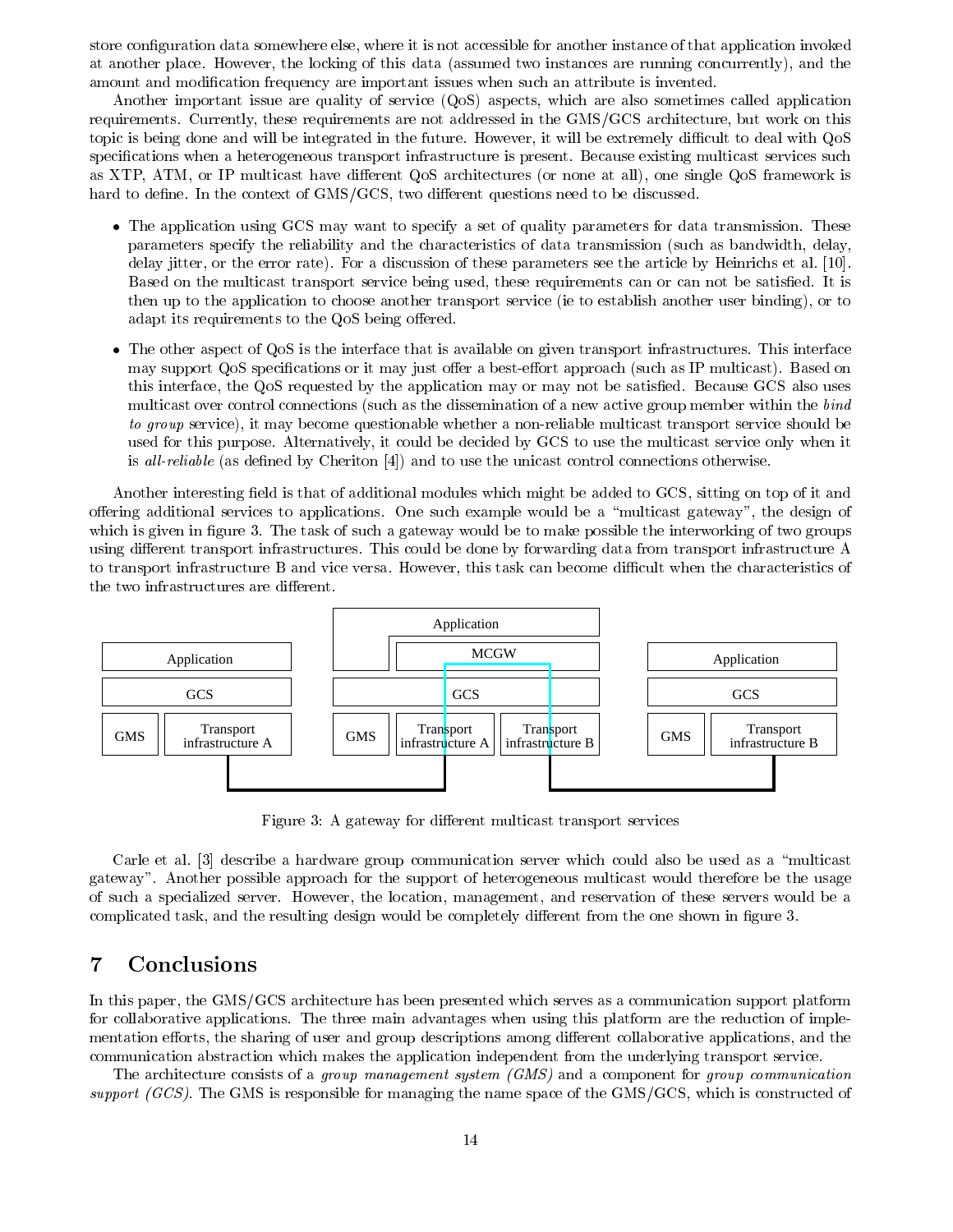store configuration data somewhere else, where it is not accessible for another instance of that application invoked at another place. However, the locking of this data (assumed two instances are running concurrently), and the amount and modication frequency are important issues when such an attribute is invented.

Another important issue are quality of service (QoS) aspects, which are also sometimes called application requirements. Currently, these requirements are not addressed in the GMS/GCS architecture, but work on this topic is being done and will be integrated in the future. However, it will be extremely difficult to deal with QoS specifications when a heterogeneous transport infrastructure is present. Because existing multicast services such as XTP, ATM, or IP multicast have different QoS architectures (or none at all), one single QoS framework is hard to define. In the context of GMS/GCS, two different questions need to be discussed.

- The application using GCS may want to specify a set of quality parameters for data transmission. These parameters specify the reliability and the characteristics of data transmission (such as bandwidth, delay, delay jitter, or the error rate). For a discussion of these parameters see the article by Heinrichs et al. [10]. Based on the multicast transport service being used, these requirements can or can not be satised. It is then up to the application to choose another transport service (ie to establish another user binding), or to adapt its requirements to the QoS being offered.
- The other aspect of QoS is the interface that is available on given transport infrastructures. This interface may support QoS specifications or it may just offer a best-effort approach (such as IP multicast). Based on this interface, the QoS requested by the application may or may not be satisfied. Because GCS also uses multicast over control connections (such as the dissemination of a new active group member within the bind to group service), it may become questionable whether a non-reliable multicast transport service should be used for this purpose. Alternatively, it could be decided by GCS to use the multicast service only when it is all-reliable (as defined by Cheriton  $[4]$ ) and to use the unicast control connections otherwise.

Another interesting field is that of additional modules which might be added to GCS, sitting on top of it and offering additional services to applications. One such example would be a "multicast gateway", the design of which is given in figure 3. The task of such a gateway would be to make possible the interworking of two groups using different transport infrastructures. This could be done by forwarding data from transport infrastructure A to transport infrastructure B and vice versa. However, this task can become difficult when the characteristics of the two infrastructures are different.



Figure 3: A gateway for different multicast transport services

Carle et al. [3] describe a hardware group communication server which could also be used as a "multicast" gateway". Another possible approach for the support of heterogeneous multicast would therefore be the usage of such a specialized server. However, the location, management, and reservation of these servers would be a complicated task, and the resulting design would be completely different from the one shown in figure 3.

## 7 Conclusions

In this paper, the GMS/GCS architecture has been presented which serves as a communication support platform for collaborative applications. The three main advantages when using this platform are the reduction of implementation efforts, the sharing of user and group descriptions among different collaborative applications, and the communication abstraction which makes the application independent from the underlying transport service.

The architecture consists of a group management system (GMS) and a component for group communication support (GCS). The GMS is responsible for managing the name space of the GMS/GCS, which is constructed of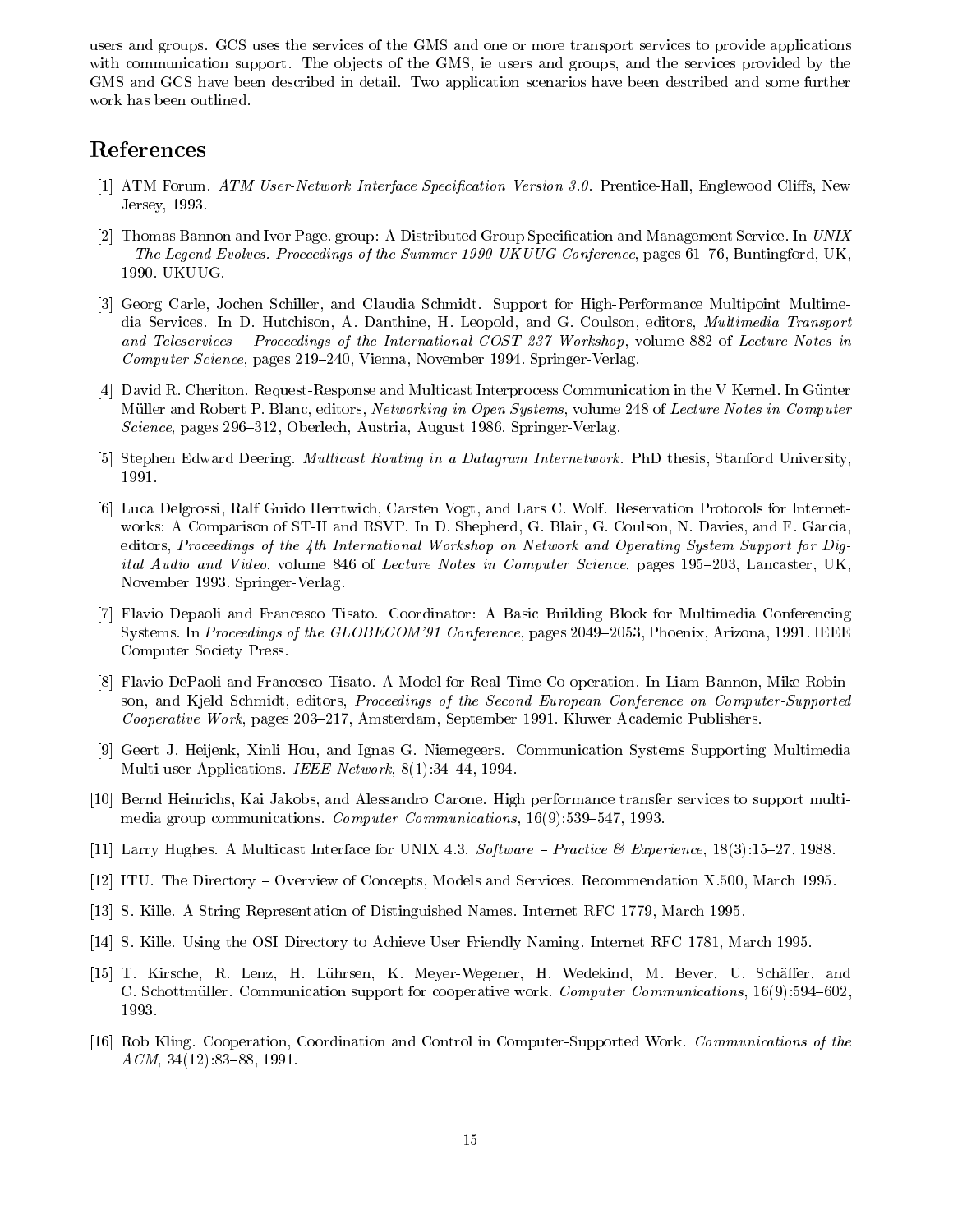users and groups. GCS uses the services of the GMS and one or more transport services to provide applications with communication support. The objects of the GMS, ie users and groups, and the services provided by the GMS and GCS have been described in detail. Two application scenarios have been described and some further work has been outlined.

## References

- [1] ATM Forum. ATM User-Network Interface Specification Version 3.0. Prentice-Hall, Englewood Cliffs, New Jersey, 1993.
- [2] Thomas Bannon and Ivor Page. group: A Distributed Group Specication and Management Service. In UNIX  $-$  The Legend Evolves. Proceedings of the Summer 1990 UKUUG Conference, pages 61–76, Buntingford, UK. 1990. UKUUG.
- [3] Georg Carle, Jochen Schiller, and Claudia Schmidt. Support for High-Performance Multipoint Multimedia Services. In D. Hutchison, A. Danthine, H. Leopold, and G. Coulson, editors, Multimedia Transport and Teleservices - Proceedings of the International COST 237 Workshop, volume 882 of Lecture Notes in Computer Science, pages 219-240, Vienna, November 1994. Springer-Verlag.
- [4] David R. Cheriton. Request-Response and Multicast Interprocess Communication in the V Kernel. In Gunter Müller and Robert P. Blanc, editors, Networking in Open Systems, volume 248 of Lecture Notes in Computer Science, pages 296-312, Oberlech, Austria, August 1986. Springer-Verlag.
- [5] Stephen Edward Deering. Multicast Routing in a Datagram Internetwork. PhD thesis, Stanford University, 1991.
- [6] Luca Delgrossi, Ralf Guido Herrtwich, Carsten Vogt, and Lars C. Wolf. Reservation Protocols for Internet works: A Comparison of ST-II and RSVP. In D. Shepherd, G. Blair, G. Coulson, N. Davies, and F. Garcia, editors, Proceedings of the 4th International Workshop on Network and Operating System Support for Digital Audio and Video, volume 846 of Lecture Notes in Computer Science, pages 195-203, Lancaster, UK, November 1993. Springer-Verlag.
- [7] Flavio Depaoli and Francesco Tisato. Coordinator: A Basic Building Block for Multimedia Conferencing Systems. In Proceedings of the GLOBECOM'91 Conference, pages 2049–2053, Phoenix, Arizona, 1991. IEEE Computer Society Press.
- [8] Flavio DePaoli and Francesco Tisato. A Model for Real-Time Co-operation. In Liam Bannon, Mike Robinson, and Kjeld Schmidt, editors, Proceedings of the Second European Conference on Computer-Supported Cooperative Work, pages 203-217, Amsterdam, September 1991. Kluwer Academic Publishers.
- [9] Geert J. Heijenk, Xinli Hou, and Ignas G. Niemegeers. Communication Systems Supporting Multimedia Multi-user Applications. IEEE Network, 8(1):34-44, 1994.
- [10] Bernd Heinrichs, Kai Jakobs, and Alessandro Carone. High performance transfer services to support multimedia group communications. Computer Communications,  $16(9):539-547$ , 1993.
- [11] Larry Hughes. A Multicast Interface for UNIX 4.3. Software Practice & Experience, 18(3):15-27, 1988.
- [12] ITU. The Directory Overview of Concepts, Models and Services. Recommendation X.500, March 1995.
- [13] S. Kille. A String Representation of Distinguished Names. Internet RFC 1779, March 1995.
- [14] S. Kille. Using the OSI Directory to Achieve User Friendly Naming. Internet RFC 1781, March 1995.
- [15] T. Kirsche, R. Lenz, H. Lührsen, K. Meyer-Wegener, H. Wedekind, M. Bever, U. Schäffer, and C. Schottmüller. Communication support for cooperative work. Computer Communications,  $16(9):594-602$ , 1993.
- [16] Rob Kling. Cooperation, Coordination and Control in Computer-Supported Work. Communications of the  $ACM$ , 34(12):83-88, 1991.